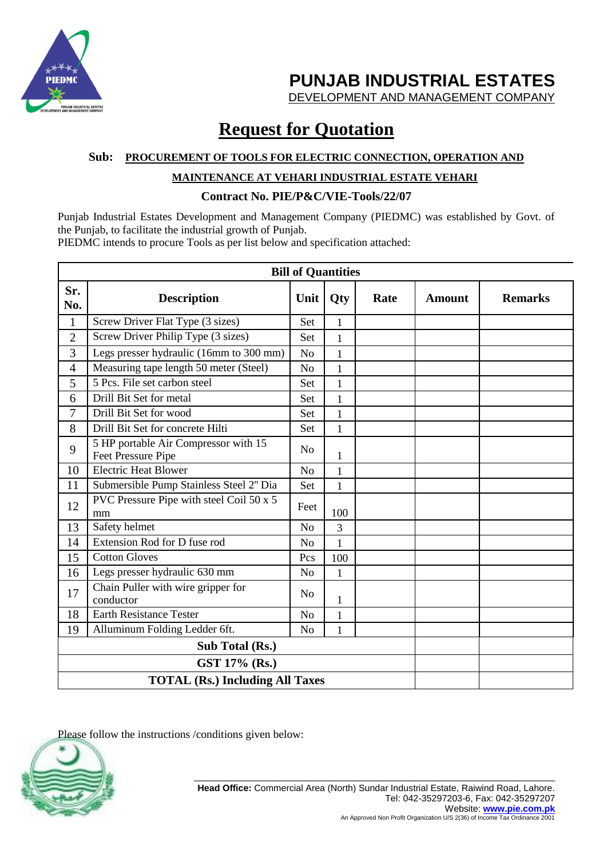

DEVELOPMENT AND MANAGEMENT COMPANY

# **Request for Quotation**

#### **Sub: PROCUREMENT OF TOOLS FOR ELECTRIC CONNECTION, OPERATION AND**

### **MAINTENANCE AT VEHARI INDUSTRIAL ESTATE VEHARI**

### **Contract No. PIE/P&C/VIE-Tools/22/07**

Punjab Industrial Estates Development and Management Company (PIEDMC) was established by Govt. of the Punjab, to facilitate the industrial growth of Punjab. PIEDMC intends to procure Tools as per list below and specification attached:

**Bill of Quantities Sr. No. Description Unit Qty Rate Amount Remarks** 1 Screw Driver Flat Type (3 sizes) Set 1 2 Screw Driver Philip Type  $(3 \text{ sizes})$  Set 1  $3$  Legs presser hydraulic (16mm to 300 mm) No 1 4 Measuring tape length 50 meter (Steel) No 1 5 5 Pcs. File set carbon steel Set 1 6 Drill Bit Set for metal Set 1 7 Drill Bit Set for wood Set 1 8 Drill Bit Set for concrete Hilti Set 1 9 5 HP portable Air Compressor with 15  $\frac{5 \text{ H}}{\text{Net} \text{ Pressure} \text{ Price}}$  No  $\frac{1}{1}$ 10 Electric Heat Blower No 1 11 Submersible Pump Stainless Steel 2" Dia Set 1  $12$  PVC Pressure Pipe with steel Coil 50 x 5 mm Feet  $\Big|$  100 13 Safety helmet No 3 14 Extension Rod for D fuse rod No 1 15 Cotton Gloves Pcs 100 16 Legs presser hydraulic 630 mm No 1 17 Chain Puller with wire gripper for  $\begin{array}{|c|c|c|c|}\n\hline\n\end{array}$  No  $\begin{array}{|c|c|c|}\n\hline\n\end{array}$  No  $\begin{array}{|c|c|c|}\n\hline\n\end{array}$ 18 Earth Resistance Tester No 1 19 Alluminum Folding Ledder 6ft. No 1 **Sub Total (Rs.) GST 17% (Rs.) TOTAL (Rs.) Including All Taxes**

Please follow the instructions /conditions given below:

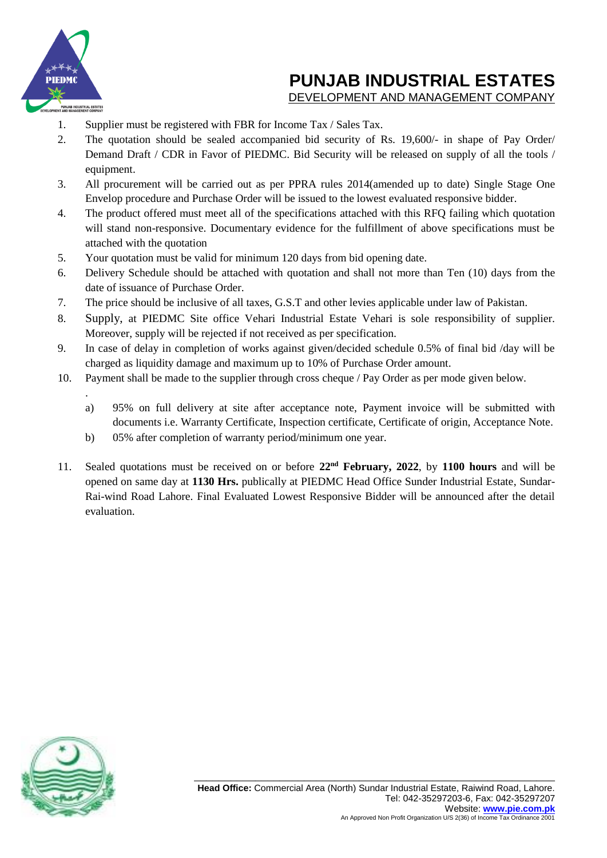

.

# **PUNJAB INDUSTRIAL ESTATES**

DEVELOPMENT AND MANAGEMENT COMPANY

- 1. Supplier must be registered with FBR for Income Tax / Sales Tax.
- 2. The quotation should be sealed accompanied bid security of Rs. 19,600/- in shape of Pay Order/ Demand Draft / CDR in Favor of PIEDMC. Bid Security will be released on supply of all the tools / equipment.
- 3. All procurement will be carried out as per PPRA rules 2014(amended up to date) Single Stage One Envelop procedure and Purchase Order will be issued to the lowest evaluated responsive bidder.
- 4. The product offered must meet all of the specifications attached with this RFQ failing which quotation will stand non-responsive. Documentary evidence for the fulfillment of above specifications must be attached with the quotation
- 5. Your quotation must be valid for minimum 120 days from bid opening date.
- 6. Delivery Schedule should be attached with quotation and shall not more than Ten (10) days from the date of issuance of Purchase Order.
- 7. The price should be inclusive of all taxes, G.S.T and other levies applicable under law of Pakistan.
- 8. Supply, at PIEDMC Site office Vehari Industrial Estate Vehari is sole responsibility of supplier. Moreover, supply will be rejected if not received as per specification.
- 9. In case of delay in completion of works against given/decided schedule 0.5% of final bid /day will be charged as liquidity damage and maximum up to 10% of Purchase Order amount.
- 10. Payment shall be made to the supplier through cross cheque / Pay Order as per mode given below.
	- a) 95% on full delivery at site after acceptance note, Payment invoice will be submitted with documents i.e. Warranty Certificate, Inspection certificate, Certificate of origin, Acceptance Note.
	- b) 05% after completion of warranty period/minimum one year.
- 11. Sealed quotations must be received on or before **22nd February, 2022**, by **1100 hours** and will be opened on same day at **1130 Hrs.** publically at PIEDMC Head Office Sunder Industrial Estate, Sundar-Rai-wind Road Lahore. Final Evaluated Lowest Responsive Bidder will be announced after the detail evaluation.

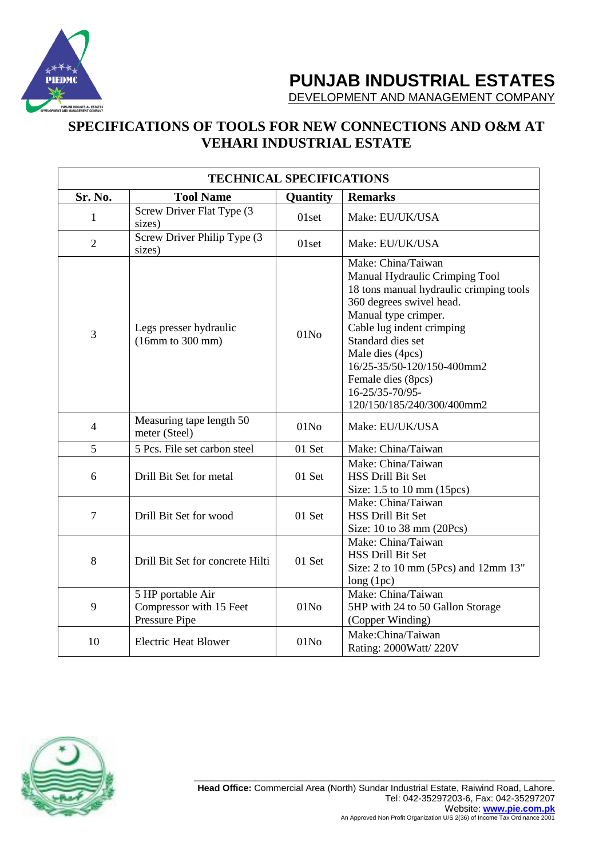

DEVELOPMENT AND MANAGEMENT COMPANY

## **SPECIFICATIONS OF TOOLS FOR NEW CONNECTIONS AND O&M AT VEHARI INDUSTRIAL ESTATE**

| <b>TECHNICAL SPECIFICATIONS</b> |                                                               |                  |                                                                                                                                                                                                                                                                                                                                |  |  |
|---------------------------------|---------------------------------------------------------------|------------------|--------------------------------------------------------------------------------------------------------------------------------------------------------------------------------------------------------------------------------------------------------------------------------------------------------------------------------|--|--|
| Sr. No.                         | <b>Tool Name</b>                                              | Quantity         | <b>Remarks</b>                                                                                                                                                                                                                                                                                                                 |  |  |
| 1                               | Screw Driver Flat Type (3)<br>sizes)                          | 01set            | Make: EU/UK/USA                                                                                                                                                                                                                                                                                                                |  |  |
| $\overline{2}$                  | Screw Driver Philip Type (3<br>sizes)                         | $01$ set         | Make: EU/UK/USA                                                                                                                                                                                                                                                                                                                |  |  |
| 3                               | Legs presser hydraulic<br>(16mm to 300 mm)                    | 01N <sub>0</sub> | Make: China/Taiwan<br>Manual Hydraulic Crimping Tool<br>18 tons manual hydraulic crimping tools<br>360 degrees swivel head.<br>Manual type crimper.<br>Cable lug indent crimping<br>Standard dies set<br>Male dies (4pcs)<br>16/25-35/50-120/150-400mm2<br>Female dies (8pcs)<br>16-25/35-70/95-<br>120/150/185/240/300/400mm2 |  |  |
| $\overline{4}$                  | Measuring tape length 50<br>meter (Steel)                     | 01N <sub>0</sub> | Make: EU/UK/USA                                                                                                                                                                                                                                                                                                                |  |  |
| 5                               | 5 Pcs. File set carbon steel                                  | 01 Set           | Make: China/Taiwan                                                                                                                                                                                                                                                                                                             |  |  |
| 6                               | Drill Bit Set for metal                                       | 01 Set           | Make: China/Taiwan<br><b>HSS Drill Bit Set</b><br>Size: 1.5 to 10 mm (15pcs)                                                                                                                                                                                                                                                   |  |  |
| $\overline{7}$                  | Drill Bit Set for wood                                        | 01 Set           | Make: China/Taiwan<br><b>HSS Drill Bit Set</b><br>Size: 10 to 38 mm (20Pcs)                                                                                                                                                                                                                                                    |  |  |
| 8                               | Drill Bit Set for concrete Hilti                              | 01 Set           | Make: China/Taiwan<br><b>HSS Drill Bit Set</b><br>Size: 2 to 10 mm (5Pcs) and 12mm 13"<br>long(1pc)                                                                                                                                                                                                                            |  |  |
| 9                               | 5 HP portable Air<br>Compressor with 15 Feet<br>Pressure Pipe | 01N <sub>0</sub> | Make: China/Taiwan<br>5HP with 24 to 50 Gallon Storage<br>(Copper Winding)                                                                                                                                                                                                                                                     |  |  |
| 10                              | <b>Electric Heat Blower</b>                                   | 01N <sub>0</sub> | Make:China/Taiwan<br>Rating: 2000Watt/ 220V                                                                                                                                                                                                                                                                                    |  |  |

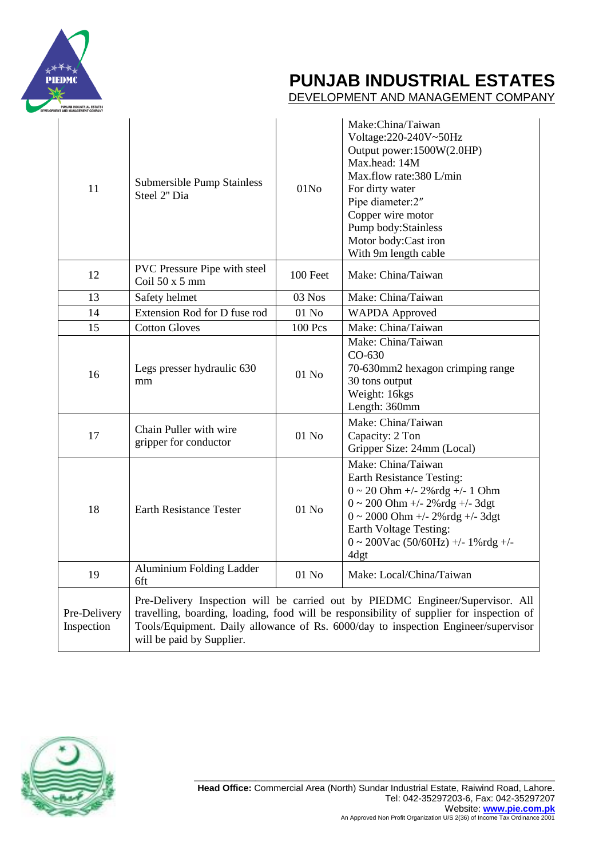

DEVELOPMENT AND MANAGEMENT COMPANY

| 11                         | Submersible Pump Stainless<br>Steel 2" Dia                                                                                                                                                                                                                                                    | 01N <sub>0</sub> | Make:China/Taiwan<br>Voltage: 220-240V~50Hz<br>Output power:1500W(2.0HP)<br>Max.head: 14M<br>Max.flow rate:380 L/min<br>For dirty water<br>Pipe diameter:2"<br>Copper wire motor<br>Pump body: Stainless<br>Motor body:Cast iron<br>With 9m length cable   |  |
|----------------------------|-----------------------------------------------------------------------------------------------------------------------------------------------------------------------------------------------------------------------------------------------------------------------------------------------|------------------|------------------------------------------------------------------------------------------------------------------------------------------------------------------------------------------------------------------------------------------------------------|--|
| 12                         | PVC Pressure Pipe with steel<br>Coil $50x5$ mm                                                                                                                                                                                                                                                | 100 Feet         | Make: China/Taiwan                                                                                                                                                                                                                                         |  |
| 13                         | Safety helmet                                                                                                                                                                                                                                                                                 | 03 Nos           | Make: China/Taiwan                                                                                                                                                                                                                                         |  |
| 14                         | Extension Rod for D fuse rod                                                                                                                                                                                                                                                                  | $01$ No          | <b>WAPDA Approved</b>                                                                                                                                                                                                                                      |  |
| 15                         | <b>Cotton Gloves</b>                                                                                                                                                                                                                                                                          | <b>100 Pcs</b>   | Make: China/Taiwan                                                                                                                                                                                                                                         |  |
| 16                         | Legs presser hydraulic 630<br>mm                                                                                                                                                                                                                                                              | $01$ No          | Make: China/Taiwan<br>$CO-630$<br>70-630mm2 hexagon crimping range<br>30 tons output<br>Weight: 16kgs<br>Length: 360mm                                                                                                                                     |  |
| 17                         | Chain Puller with wire<br>gripper for conductor                                                                                                                                                                                                                                               | $01$ No          | Make: China/Taiwan<br>Capacity: 2 Ton<br>Gripper Size: 24mm (Local)                                                                                                                                                                                        |  |
| 18                         | <b>Earth Resistance Tester</b>                                                                                                                                                                                                                                                                | 01 No            | Make: China/Taiwan<br><b>Earth Resistance Testing:</b><br>$0 \sim 20$ Ohm +/- 2%rdg +/- 1 Ohm<br>$0 \sim 200$ Ohm +/- 2%rdg +/- 3dgt<br>$0 \sim 2000$ Ohm +/- 2%rdg +/- 3dgt<br>Earth Voltage Testing:<br>$0 \sim 200$ Vac (50/60Hz) +/- 1%rdg +/-<br>4dgt |  |
| 19                         | Aluminium Folding Ladder<br>6ft                                                                                                                                                                                                                                                               | 01 No            | Make: Local/China/Taiwan                                                                                                                                                                                                                                   |  |
| Pre-Delivery<br>Inspection | Pre-Delivery Inspection will be carried out by PIEDMC Engineer/Supervisor. All<br>travelling, boarding, loading, food will be responsibility of supplier for inspection of<br>Tools/Equipment. Daily allowance of Rs. 6000/day to inspection Engineer/supervisor<br>will be paid by Supplier. |                  |                                                                                                                                                                                                                                                            |  |